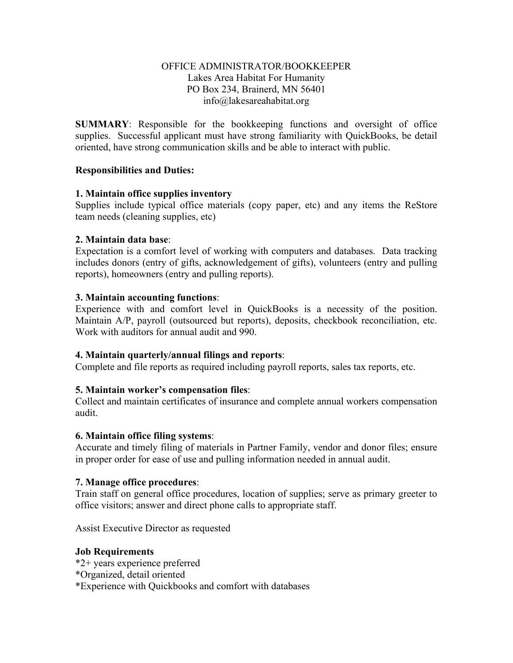# OFFICE ADMINISTRATOR/BOOKKEEPER Lakes Area Habitat For Humanity PO Box 234, Brainerd, MN 56401 info@lakesareahabitat.org

**SUMMARY**: Responsible for the bookkeeping functions and oversight of office supplies. Successful applicant must have strong familiarity with QuickBooks, be detail oriented, have strong communication skills and be able to interact with public.

# **Responsibilities and Duties:**

# **1. Maintain office supplies inventory**

Supplies include typical office materials (copy paper, etc) and any items the ReStore team needs (cleaning supplies, etc)

# **2. Maintain data base**:

Expectation is a comfort level of working with computers and databases. Data tracking includes donors (entry of gifts, acknowledgement of gifts), volunteers (entry and pulling reports), homeowners (entry and pulling reports).

# **3. Maintain accounting functions**:

Experience with and comfort level in QuickBooks is a necessity of the position. Maintain A/P, payroll (outsourced but reports), deposits, checkbook reconciliation, etc. Work with auditors for annual audit and 990.

### **4. Maintain quarterly/annual filings and reports**:

Complete and file reports as required including payroll reports, sales tax reports, etc.

### **5. Maintain worker's compensation files**:

Collect and maintain certificates of insurance and complete annual workers compensation audit.

### **6. Maintain office filing systems**:

Accurate and timely filing of materials in Partner Family, vendor and donor files; ensure in proper order for ease of use and pulling information needed in annual audit.

### **7. Manage office procedures**:

Train staff on general office procedures, location of supplies; serve as primary greeter to office visitors; answer and direct phone calls to appropriate staff.

Assist Executive Director as requested

### **Job Requirements**

- \*2+ years experience preferred
- \*Organized, detail oriented
- \*Experience with Quickbooks and comfort with databases